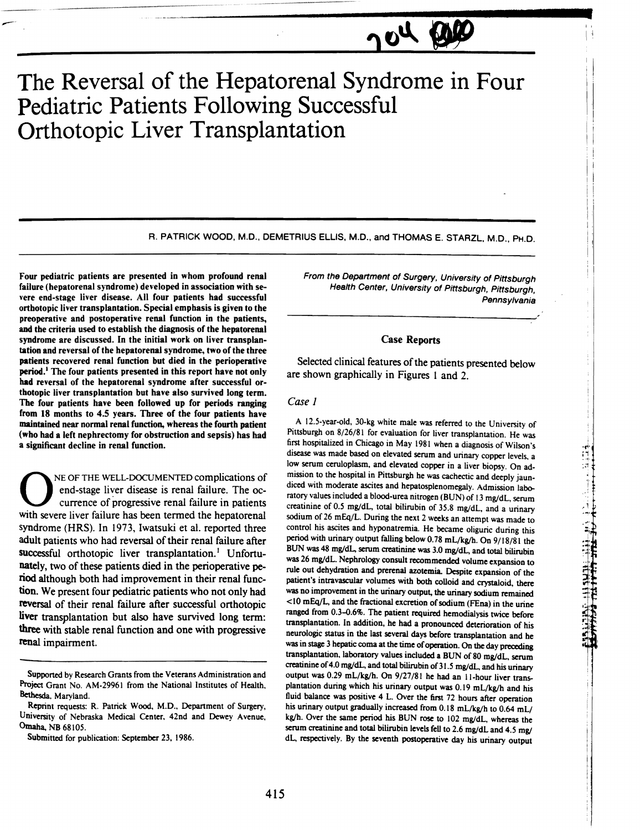# **The Reversal of the Hepatorenal Syndrome in Four Pediatric Patients Following Successful Orthotopic Liver Transplantation**

R. PATRICK WOOD, M.D., DEMETRIUS ELLIS, M.D., and THOMAS E. STARZL, M.D., PH.D.

Four pediatric patients are presented in whom profound renal failure (hepatorenal syndrome) developed in association with severe end-stage liver disease. All four patients had successful orthotopic liver transplantation. Special emphasis is given to the preoperative and postoperative renal function in the patients, and the criteria used to establish the diagnosis of the hepatorenal syndrome are discussed. In the initial work on liver transplantation and reversal of the hepatorenal syndrome, two of the three patients recovered renal function but died in the perioperative period.<sup>1</sup> The four patients presented in this report have not only had reversal of the hepatorenal syndrome after successful orthotopic liver transplantation but have also survived long term. The four patients have been followed up for periods ranging from 18 months to 4.5 years. Three of the four patients have maintained near normal renal function, whereas the fourth patient (who had a left nephrectomy for obstruction and sepsis) has had a significant decline in renal function.

NE OF THE WELL-DOCUMENTED complications of end-stage liver disease is renal failure. The occurrence of progressive renal failure in patients with severe liver failure has been termed the hepatorenal syndrome (HRS). In 1973, Iwatsuki et al. reported three adult patients who had reversal of their renal failure after successful orthotopic liver transplantation.<sup>1</sup> Unfortunately, two of these patients died in the perioperative period although both had improvement in their renal function. We present four pediatric patients who not only had reversal of their renal failure after successful orthotopic liver transplantation but also have survived long term: three with stable renal function and one with progressive renal impairment.

From the Department of Surgery. University of Pittsburgh Health Center, University of Pittsburgh, Pittsburgh, **Pennsylvania** 

 $\mu_0$ 

# Case Reports

Selected clinical features of the patients presented below are shown graphically in Figures 1 and 2.

# Case J

A 12.5-year-old, 3D-kg white male was referred to the University of Pittsburgh on 8/26/81 for evaluation for liver transplantation. He was first hospitalized in Chicago in May 1981 when a diagnosis of Wilson's disease was made based on elevated serum and urinary copper levels, a low serum ceruloplasm. and elevated copper in a liver biopsy. On admission to the hospital in Pittsburgh he was cachectic and deeply jaundiced with moderate ascites and hepatosplenomegaly. Admission laboratory values included a blood-urea nitrogen (BUN) of 13 mg/dL, serum creatinine of 0.5 mg/dL, total bilirubin of 35.8 mg/dL, and a urinary sodium of 26 mEq/L. During the next 2 weeks an attempt was made to control his ascites and hyponatremia. He became oliguric during this period with urinary output falling below 0.78 mL/kg/h. On 9/18/81 the BUN was 48 mg/dL, serum creatinine was 3.0 mg/dL, and total bilirubin was 26 mg/dL. Nephrology consult recommended volume expansion to rule out dehydration and prerenal azotemia. Despite expansion of the patient's intravascular volumes with both colloid and crystaloid, there was no improvement in the urinary output, the urinary sodium remained <10 mEqJL, and the fractional excretion of sodium (FEna) in the urine ranged from 0.3-0.6%. The patient required hemodialysis twice before transplantation. In addition, he had a pronounced deterioration of his neurologic status in the last several days before transplantation and he was in stage 3 hepatic coma at the time of operation. On the day preceding transplantation, laboratory values included a BUN of 80 mg/dL, serum creatinine of 4.0 mg/dL, and total bilirubin of 31.5 mg/dL, and his urinary output was 0.29 mL/kg/h. On 9/27/81 he had an II-hour liver transplantation during which his urinary output was 0.19 mL/kg/h and his fluid balance was positive 4 L. Over the first 72 hours after operation his urinary output gradually increased from 0.18 mL/kg/h to 0.64 mL/ kg/h. Over the same period his BUN rose to 102 mg/dL, whereas the serum creatinine and total bilirubin levels fell to 2.6 mg/dL and 4.5 mg/ dL, respectively. By the seventh postoperative day his urinary output

 $\frac{1}{11}$ .-;. :.1

**THE HISLEY CONTRACT** 

**I** 

Supported by Research Grants from the Veterans Administration and Project Grant No. AM-29961 from the National Institutes of Health, Bethesda, Maryland.

Reprint requests: R. Patrick Wood, M.D., Department of Surgery, University of Nebraska Medical Center, 42nd and Dewey Avenue, Omaha, NB 68105.

Submitted for publication: September 23, 1986.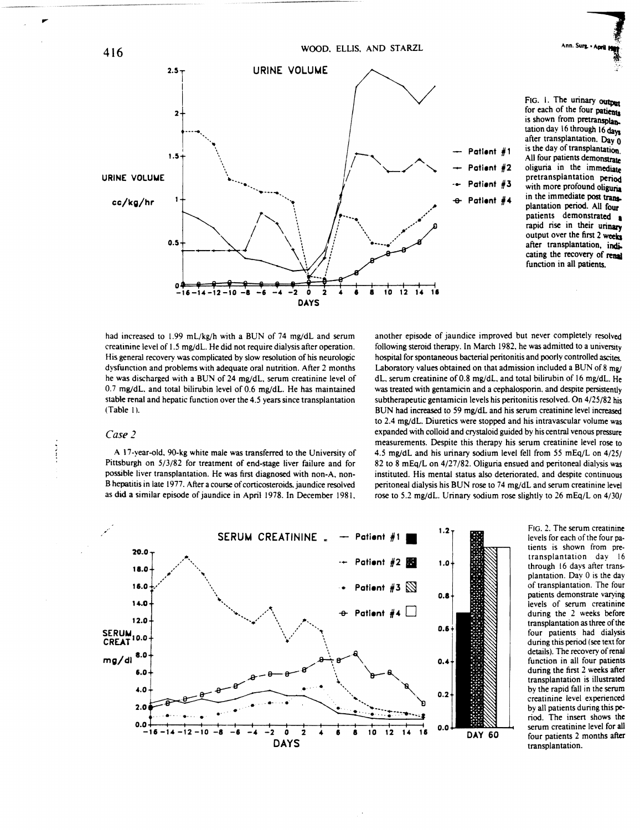

for each of the four patients is shown from pretransplantation day 16 through 16 days after transplantation. Day 0 is the day of transplantation All four patients demonstrate oliguria in the immediate pretransplantation period with more profound oliguria in the immediate post transplantation period. All four patients demonstrated a rapid rise in their urinary output over the first 2 weeks after transplantation, indicating the recovery of renal function in all patients.

Ann. Surg. . April

had increased to 1.99 mL/kg/h with a BUN of 74 mg/dL and serum creatinine level of 1.5 mg/dL. He did not require dialysis after operation. His general recovery was complicated by slow resolution of his neurologic dysfunction and problems with adequate oral nutrition. After 2 months he was discharged with a BUN of 24 mg/dL. serum creatinine level of 0.7 mg/dL. and total bilirubin level of 0.6 mg/dL. He has maintained stable renal and hepatic function over the 4.5 years since transplantation (Table I).

## Case 2

A 17-year-old. 90-kg white male was transferred to the University of Pittsburgh on 5/3/82 for treatment of end·stage liver failure and for possible liver transplantation. He was first diagnosed with non·A. non· B hepatitis in late 1977. After a course of corticosteroids. jaundice resolved as did a similar episode of jaundice in April 1978. In December 1981. another episode of jaundice improved but never completely resolved following steroid therapy. In March 1982, he was admitted to a university hospital for spontaneous bacterial peritonitis and poorly controlled ascites. Laboratory values obtained on that admission included a BUN of  $8 \text{ mg}$ dL, serum creatinine of 0.8 mg/dL, and total bilirubin of 16 mg/dL. He was treated with gentamicin and a cephalosporin. and despite persistently subtherapeutic gentamicin levels his peritonitis resolved. On 4/25/82 his BUN had increased to 59 mg/dl and his serum creatinine level increased to 2.4 mg/dL. Diuretics were stopped and his intravascular volume was expanded with colloid and crystaloid guided by his central venous pressure measurements. Despite this therapy his serum creatinine level rose to 4.5 mg/dl and his urinary sodium level fell from 55 mEq/L on 4/25/ 82 to 8 mEq/L on 4/27/82. Oliguria ensued and peritoneal dialysis was instituted. His mental status also deteriorated. and despite continuous peritoneal dialysis his BUN rose to 74 mg/dL and serum creatinine level rose to 5.2 mg/dL. Urinary sodium rose slightly to 26 mEq/L on 4/30/



FIG. 2. The serum creatinine levels for each of the four pa. tients is shown from pre· transplantation day 16 through 16 days after transplantation. Day 0 is the day of transplantation. The four patients demonstrate varying levels of serum creatinine during the 2 weeks before transplantation as three of the four patients had dialysis during this period (see text for details). The recovery of renal function in all four patients during the first 2 weeks after transplantation is illustrated by the rapid fall in the serum creatinine level experienced by all patients during this pe. riod. The insen shows the serum creatinine level for all four patients 2 months after transplantation.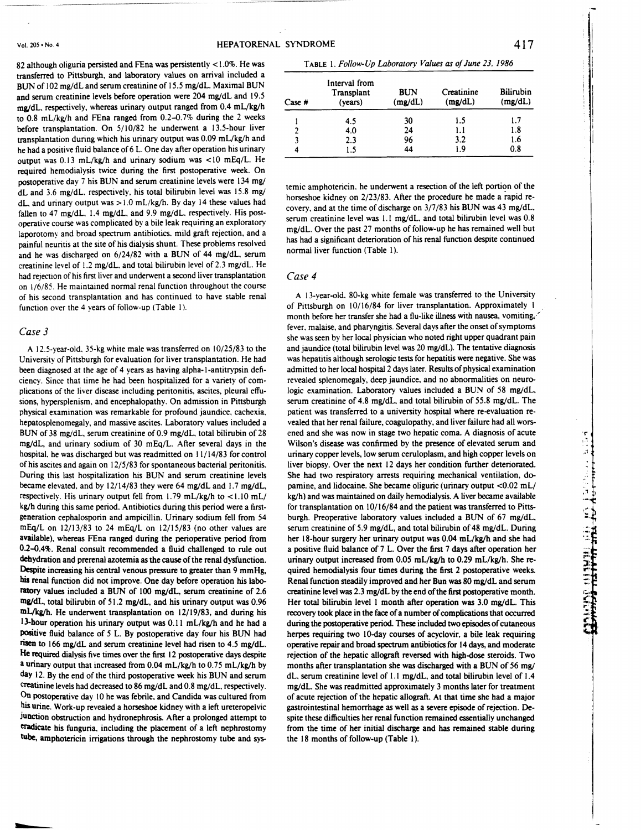82 although oliguria persisted and FEna was persistently < 1.0%. He was transferred to Pittsburgh, and laboratory values on arrival included a BUN of 102 mg/dL and serum creatinine of 15.5 mg/dL. Maximal BUN and serum creatinine levels before operation were 204 mg/dL and 19.5 mg/dL. respectively, whereas urinary output ranged from 0.4 mL/kg/h to  $0.8$  mL/kg/h and FEna ranged from  $0.2$ -0.7% during the 2 weeks before transplantation. On 5/10/82 he underwent a 13.5-hour liver transplantation during which his urinary output was  $0.09$  mL/kg/h and he had a positive fluid balance of 6 L. One day after operation his urinary output was 0.13 mL/kg/h and urinary sodium was <10 mEq/L. He required hemodialysis twice during the first postoperative week. On postoperative day 7 his BUN and serum creatinine levels were 134 mg/ dL and  $3.6 \text{ mg/dL}$ . respectively, his total bilirubin level was  $15.8 \text{ mg/s}$ dL, and urinary output was  $> 1.0$  mL/kg/h. By day 14 these values had fallen to 47 mg/dL,  $1.4$  mg/dL, and 9.9 mg/dL, respectively. His postoperative course was complicated by a bile leak requiring an exploratory laporotomy and broad spectrum antibiotics. mild graft rejection, and a painful neuntis at the site of his dialysis shunt. These problems resolved and he was discharged on 6/24/82 with a BUN of 44 mg/dL. serum creatinine level of 1.2 mg/dL. and total bilirubin level of 2.3 mg/dL. He had rejection of his first liver and underwent a second liver transplantation on 1/6/85. He maintained normal renal function throughout the course of his second transplantation and has continued to have stable renal function over the 4 years of follow-up (Table 1).

## *Case* 3

**....** 

A 12.5-year-old. 35-kg white male was transferred on 10/25/83 to the University of Pittsburgh for evaluation for liver transplantation. He had been diagnosed at the age of 4 years as having alpha-I-antitrypsin deficiency. Since that time he had been hospitalized for a variety of complications of the liver disease including peritonitis, ascites. pleural effusions, hypersplenism. and encephalopathy. On admission in Pittsburgh physical examination was remarkable for profound jaundice. cachexia. hepatosplenomegaly, and massive ascites. Laboratory values included a BUN of 38 mg/dL, serum creatinine of 0.9 mg/dL, total bilirubin of 28 mg/dL, and urinary sodium of 30 mEq/L. After several days in the hospital. he was discharged but was readmitted on 1 1/14/83 for control of his ascites and again on 12/5/83 for spontaneous bacterial peritonitis. During this last hospitalization his BUN and serum creatinine levels became elevated, and by  $12/14/83$  they were 64 mg/dL and 1.7 mg/dL, respectively. His urinary output fell from  $1.79$  mL/kg/h to  $\lt 1.10$  mL/ kg/h during this same period. Antibiotics during this period were a firstgeneration cephalosporin and ampicillin. Urinary sodium fell from 54 mEq/L on 12/13/83 to 24 mEq/L on 12/15/83 (no other values are available), whereas FEna ranged during the perioperative period from 0.2-0.4%. Renal consult recommended a fluid challenged to rule out dehydration and prerenal azotemia as the cause of the renal dysfunction. Despite increasing his central venous pressure to greater than 9 mmHg, his renal function did not improve. One day before operation his laboratory values included a BUN of 100 mg/dL, serum creatinine of 2.6 mg/dL, total bilirubin of *5* 1.2 mg/dL, and his urinary output was 0.96 mL/kgjh. He underwent transplantation on 12/19/83, and during his 13-hour operation his urinary output was 0.11 mL/kg/h and he had a positive fluid balance of 5 L. By postoperative day four his BUN had risen to  $166 \text{ mg/dL}$  and serum creatinine level had risen to  $4.5 \text{ mg/dL}$ . He required dialysis five times over the first 12 postoperative days despite a urinary output that increased from 0.04 mL/kg/h to 0.75 mL/kg/h by day 12. By the end of the third postoperative week his BUN and serum creatinine levels had decreased to 86 mg/dL and 0.8 mg/dL. respectively. On postoperative day 10 he was febrile. and Candida was cultured from his urine. Work-up revealed a horseshoe kidney with a left ureteropelvic Junction obstruction and hydronephrosis. After a prolonged attempt to eradicate his funguria. including the placement of a left nephrostomy tube, amphotericin irrigations through the nephrostomy tube and sys-

TABLE I. *Follow-Up Laboratory Values as of June* 23. 1986

| $Case \#$ | Interval from<br>Transplant<br>(years) | <b>BUN</b><br>(mg/dL) | Creatinine<br>(mg/dL) | <b>Bilirubin</b><br>(mg/dL) |
|-----------|----------------------------------------|-----------------------|-----------------------|-----------------------------|
|           | 4.5                                    | 30                    | 1.5                   | 1.7                         |
| 2         | 4.0                                    | 24                    | 1.1                   | 1.8                         |
| 3         | 2.3                                    | 96                    | 3.2                   | 1.6                         |
|           | 1.5                                    | 44                    | 1.9                   | 0.8                         |

temic amphotericin. he underwent a resection of the left portion of the horseshoe kidney on 2/23/83. After the procedure he made a rapid recovery, and at the time of discharge on  $3/7/83$  his BUN was 43 mg/dL, serum creatinine level was  $1.1 \text{ mg/dL}$ , and total bilirubin level was  $0.8$ mg/dL. Over the past 27 months of follow-up he has remained well but has had a significant deterioration of his renal function despite continued normal liver function (Table I).

#### *Case 4*

A 13-year-old. 80-kg white female was transferred to the University of Pittsburgh on 10/16/84 for liver transplantation. Approximately I month before her transfer she had a flu-like illness with nausea, vomiting, ' fever. malaise. and pharyngitis. Several days after the onset of symptoms she was seen by her local physician who noted right upper quadrant pain and jaundice (total bilirubin level was 20 mg/dL). The tentative diagnosis was hepatitis although serologic tests for hepatitis were negative. She was admitted to her local hospital 2 days later. Results of physical examination revealed splenomegaly, deep jaundice. and no abnormalities on neurologic examination. Laboratory values included a BUN of 58 mg/dL, serum creatinine of 4.8 mg/dL. and total bilirubin of 55.8 mg/dL. The patient was transferred to a university hospital where re-evaluation revealed that her renal failure, coagulopathy. and liver failure had all worsened and she was now in stage two hepatic coma. A diagnosis of acute Wilson's disease was confirmed by the presence of elevated serum and urinary copper levels, low serum ceruloplasm, and high copper levels on liver biopsy. Over the next 12 days her condition further deteriorated. She had two respiratory arrests requiring mechanical ventilation, dopamine, and lidocaine. She became oliguric (urinary output <0.02 mL/ kg/h) and was maintained on daily hemodialysis. A liver became available for transplantation on 10/16/84 and the patient was transferred to Pittsburgh. Preoperative laboratory values included a BUN of 67 mg/dL, serum creatinine of 5.9 mg/dL, and total bilirubin of 48 mg/dL. During her 18-hour surgery her urinary output was 0.04 mL/kg/h and she had a positive fluid balance of 7 L. Over the first 7 days after operation her urinary output increased from 0.05 mL/kg/h to 0.29 mL/kg/h. She required hemodialysis four times during the first 2 postoperative weeks. Renal function steadily improved and her Bun was 80 mg/dL and serum creatinine level was 2.3 mg/dL by the end of the first postoperative month. Her total bilirubin level 1 month after operation was 3.0 mg/dL. This recovery took place in the face of a number of complications that occurred during the postoperative period. These included two episodes of cutaneous herpes requiring two IO-day courses of acyclovir. a bile leak requiring operative repair and broad spectrum antibiotics for 14 days, and moderate rejection of the hepatic allograft reversed with high-dose steroids. Two months after transplantation she was discharged with a BUN of 56 mg/ dL. serum creatinine level of 1.1 mg/dL, and total bilirubin level of 1.4 mg/dL. She was readmitted approximately 3 months later for treatment of acute rejection of the hepatic allograft. At that time she had a major gastrointestinal hemorrhage as well as a severe episode of rejection. Despite these difficulties her renal function remained essentially unchanged from the time of her initial discharge and has remained stable during the 18 months of follow-up (Table 1).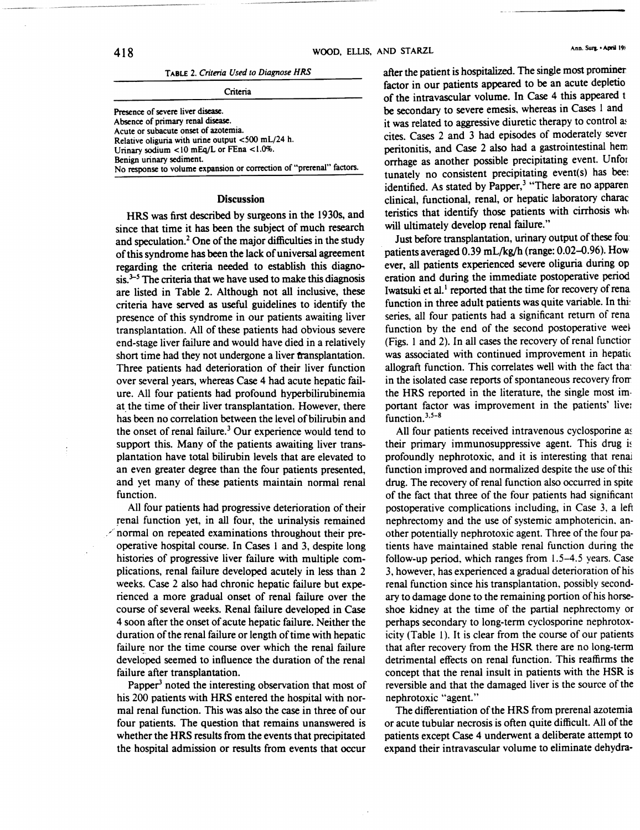|  |  |  |  | TABLE 2. Criteria Used to Diagnose HRS |  |
|--|--|--|--|----------------------------------------|--|
|--|--|--|--|----------------------------------------|--|

| Presence of severe liver disease.                                    |
|----------------------------------------------------------------------|
| Absence of primary renal disease.                                    |
| Acute or subacute onset of azotemia.                                 |
| Relative oliguria with urine output <500 mL/24 h.                    |
| Urinary sodium <10 mEq/L or FEna <1.0%.                              |
| Benign urinary sediment.                                             |
| No response to volume expansion or correction of "prerenal" factors. |
|                                                                      |

### Discussion

HRS was first described by surgeons in the 1930s, and since that time it has been the subject of much research and speculation.2 One of the major difficulties in the study of this syndrome has been the lack of universal agreement regarding the criteria needed to establish this diagno- $\sin^{3-5}$  The criteria that we have used to make this diagnosis are listed in Table 2. Although not all inclusive, these criteria have served as useful guidelines to identify the presence of this syndrome in our patients awaiting liver transplantation. All of these patients had obvious severe end-stage liver failure and would have died in a relatively short time had they not undergone a liver transplantation. Three patients had deterioration of their liver function over several years, whereas Case 4 had acute hepatic failure. All four patients had profound hyperbilirubinemia at the time of their liver transplantation. However, there has been no correlation between the level of bilirubin and the onset of renal failure.<sup>3</sup> Our experience would tend to support this. Many of the patients awaiting liver transplantation have total bilirubin levels that are elevated to an even greater degree than the four patients presented, and yet many of these patients maintain normal renal function.

All four patients had progressive deterioration of their renal function yet, in all four, the urinalysis remained  $\mathcal{L}$  normal on repeated examinations throughout their preoperative hospital course. In Cases 1 and 3, despite long histories of progressive liver failure with multiple complications, renal failure developed acutely in less than 2 weeks. Case 2 also had chronic hepatic failure but experienced a more gradual onset of renal failure over the course of several weeks. Renal failure developed in Case 4 soon after the onset of acute hepatic failure. Neither the duration of the renal failure or length of time with hepatic failure nor the time course over which the renal failure developed seemed to influence the duration of the renal failure after transplantation.

Papper $<sup>3</sup>$  noted the interesting observation that most of</sup> his 200 patients with HRS entered the hospital with normal renal function. This was also the case in three of our four patients. The Question that remains unanswered is whether the HRS results from the events that precipitated the hospital admission or results from events that occur

after the patient is hospitalized. The single most prominer factor in our patients appeared to be an acute depletio of the intravascular volume. In Case 4 this appeared t be secondary to severe emesis. whereas in Cases I and it was related to aggressive diuretic therapy to control as cites. Cases 2 and 3 had episodes of moderately sever peritonitis, and Case 2 also had a gastrointestinal hem orrhage as another possible precipitating event. Unfor tunately no consistent precipitating event(s) has bee: identified. As stated by Papper,<sup>3</sup> "There are no apparen clinical, functional, renal, or hepatic laboratory charac teristics that identify those patients with cirrhosis who will ultimately develop renal failure."

Just before transplantation, urinary output of these fou patients averaged 0.39 mL/kg/h (range: 0.02-0.96). How ever, all patients experienced severe oliguria during op eration and during the immediate postoperative period Iwatsuki et al.<sup>1</sup> reported that the time for recovery of rena function in three adult patients was quite variable. In this series, all four patients had a significant return of rena function by the end of the second postoperative week (Figs. 1 and 2). In all cases the recovery of renal functior was associated with continued improvement in hepatic allograft function. This correlates well with the fact tha: in the isolated case reports of spontaneous recovery from the HRS reported in the literature, the single most im· portant factor was improvement in the patients' live: function. $3.5-8$ 

All four patients received intravenous cyclosporine as their primary immunosuppressive agent. This drug is profoundly nephrotoxic, and it is interesting that renal function improved and normalized despite the use of this drug. The recovery of renal function also occurred in spite of the fact that three of the four patients had significant postoperative complications including, in Case 3, a left nephrectomy and the use of systemic amphotericin. another potentially nephrotoxic agent. Three of the four patients have maintained stable renal function during the follow-up period, which ranges from 1.5-4.5 years. Case 3, however, has experienced a gradual deterioration of his renal function since his transplantation. possibly secondary to damage done to the remaining portion of his horseshoe kidney at the time of the partial nephrectomy or perhaps secondary to long-term cyclosporine nephrotoxicity (Table 1). It is clear from the course of our patients that after recovery from the HSR there are no long-term detrimental effects on renal function. This reaffirms the concept that the renal insult in patients with the HSR is reversible and that the damaged liver is the source of the nephrotoxic "agent."

The differentiation of the HRS from prerenal azotemia or acute tubular necrosis is often Quite difficult. All of the patients except Case 4 underwent a deliberate attempt to expand their intravascular volume to eliminate dehydra-